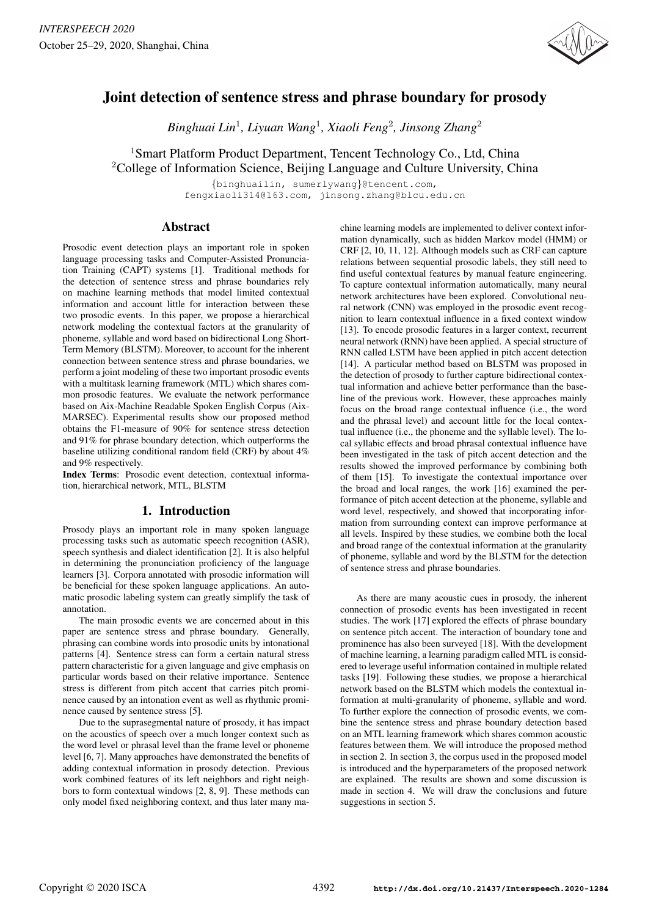

# Joint detection of sentence stress and phrase boundary for prosody

*Binghuai Lin*<sup>1</sup> *, Liyuan Wang*<sup>1</sup> *, Xiaoli Feng*<sup>2</sup> *, Jinsong Zhang*<sup>2</sup>

<sup>1</sup>Smart Platform Product Department, Tencent Technology Co., Ltd, China

<sup>2</sup>College of Information Science, Beijing Language and Culture University, China

*{*binghuailin, sumerlywang*}*@tencent.com, fengxiaoli314@163.com, jinsong.zhang@blcu.edu.cn

# Abstract

Prosodic event detection plays an important role in spoken language processing tasks and Computer-Assisted Pronunciation Training (CAPT) systems [1]. Traditional methods for the detection of sentence stress and phrase boundaries rely on machine learning methods that model limited contextual information and account little for interaction between these two prosodic events. In this paper, we propose a hierarchical network modeling the contextual factors at the granularity of phoneme, syllable and word based on bidirectional Long Short-Term Memory (BLSTM). Moreover, to account for the inherent connection between sentence stress and phrase boundaries, we perform a joint modeling of these two important prosodic events with a multitask learning framework (MTL) which shares common prosodic features. We evaluate the network performance based on Aix-Machine Readable Spoken English Corpus (Aix-MARSEC). Experimental results show our proposed method obtains the F1-measure of 90% for sentence stress detection and 91% for phrase boundary detection, which outperforms the baseline utilizing conditional random field (CRF) by about 4% and 9% respectively.

Index Terms: Prosodic event detection, contextual information, hierarchical network, MTL, BLSTM

# 1. Introduction

Prosody plays an important role in many spoken language processing tasks such as automatic speech recognition (ASR), speech synthesis and dialect identification [2]. It is also helpful in determining the pronunciation proficiency of the language learners [3]. Corpora annotated with prosodic information will be beneficial for these spoken language applications. An automatic prosodic labeling system can greatly simplify the task of annotation.

The main prosodic events we are concerned about in this paper are sentence stress and phrase boundary. Generally, phrasing can combine words into prosodic units by intonational patterns [4]. Sentence stress can form a certain natural stress pattern characteristic for a given language and give emphasis on particular words based on their relative importance. Sentence stress is different from pitch accent that carries pitch prominence caused by an intonation event as well as rhythmic prominence caused by sentence stress [5].

Due to the suprasegmental nature of prosody, it has impact on the acoustics of speech over a much longer context such as the word level or phrasal level than the frame level or phoneme level [6, 7]. Many approaches have demonstrated the benefits of adding contextual information in prosody detection. Previous work combined features of its left neighbors and right neighbors to form contextual windows [2, 8, 9]. These methods can only model fixed neighboring context, and thus later many machine learning models are implemented to deliver context information dynamically, such as hidden Markov model (HMM) or CRF [2, 10, 11, 12]. Although models such as CRF can capture relations between sequential prosodic labels, they still need to find useful contextual features by manual feature engineering. To capture contextual information automatically, many neural network architectures have been explored. Convolutional neural network (CNN) was employed in the prosodic event recognition to learn contextual influence in a fixed context window [13]. To encode prosodic features in a larger context, recurrent neural network (RNN) have been applied. A special structure of RNN called LSTM have been applied in pitch accent detection [14]. A particular method based on BLSTM was proposed in the detection of prosody to further capture bidirectional contextual information and achieve better performance than the baseline of the previous work. However, these approaches mainly focus on the broad range contextual influence (i.e., the word and the phrasal level) and account little for the local contextual influence (i.e., the phoneme and the syllable level). The local syllabic effects and broad phrasal contextual influence have been investigated in the task of pitch accent detection and the results showed the improved performance by combining both of them [15]. To investigate the contextual importance over the broad and local ranges, the work [16] examined the performance of pitch accent detection at the phoneme, syllable and word level, respectively, and showed that incorporating information from surrounding context can improve performance at all levels. Inspired by these studies, we combine both the local and broad range of the contextual information at the granularity of phoneme, syllable and word by the BLSTM for the detection of sentence stress and phrase boundaries.

As there are many acoustic cues in prosody, the inherent connection of prosodic events has been investigated in recent studies. The work [17] explored the effects of phrase boundary on sentence pitch accent. The interaction of boundary tone and prominence has also been surveyed [18]. With the development of machine learning, a learning paradigm called MTL is considered to leverage useful information contained in multiple related tasks [19]. Following these studies, we propose a hierarchical network based on the BLSTM which models the contextual information at multi-granularity of phoneme, syllable and word. To further explore the connection of prosodic events, we combine the sentence stress and phrase boundary detection based on an MTL learning framework which shares common acoustic features between them. We will introduce the proposed method in section 2. In section 3, the corpus used in the proposed model is introduced and the hyperparameters of the proposed network are explained. The results are shown and some discussion is made in section 4. We will draw the conclusions and future suggestions in section 5.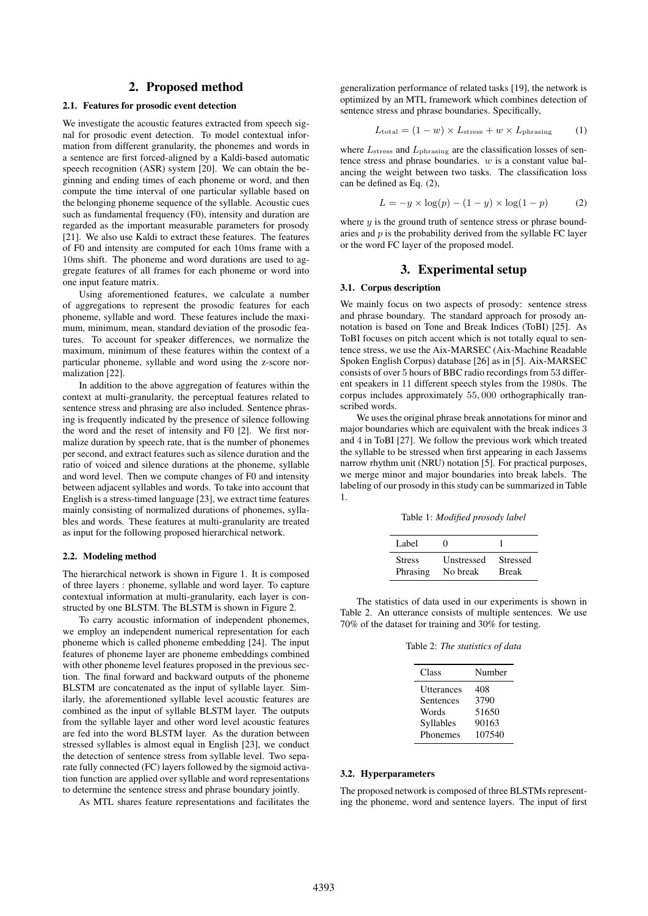# 2. Proposed method

### 2.1. Features for prosodic event detection

We investigate the acoustic features extracted from speech signal for prosodic event detection. To model contextual information from different granularity, the phonemes and words in a sentence are first forced-aligned by a Kaldi-based automatic speech recognition (ASR) system [20]. We can obtain the beginning and ending times of each phoneme or word, and then compute the time interval of one particular syllable based on the belonging phoneme sequence of the syllable. Acoustic cues such as fundamental frequency (F0), intensity and duration are regarded as the important measurable parameters for prosody [21]. We also use Kaldi to extract these features. The features of F0 and intensity are computed for each 10ms frame with a 10ms shift. The phoneme and word durations are used to aggregate features of all frames for each phoneme or word into one input feature matrix.

Using aforementioned features, we calculate a number of aggregations to represent the prosodic features for each phoneme, syllable and word. These features include the maximum, minimum, mean, standard deviation of the prosodic features. To account for speaker differences, we normalize the maximum, minimum of these features within the context of a particular phoneme, syllable and word using the z-score normalization [22].

In addition to the above aggregation of features within the context at multi-granularity, the perceptual features related to sentence stress and phrasing are also included. Sentence phrasing is frequently indicated by the presence of silence following the word and the reset of intensity and F0 [2]. We first normalize duration by speech rate, that is the number of phonemes per second, and extract features such as silence duration and the ratio of voiced and silence durations at the phoneme, syllable and word level. Then we compute changes of F0 and intensity between adjacent syllables and words. To take into account that English is a stress-timed language [23], we extract time features mainly consisting of normalized durations of phonemes, syllables and words. These features at multi-granularity are treated as input for the following proposed hierarchical network.

### 2.2. Modeling method

The hierarchical network is shown in Figure 1. It is composed of three layers : phoneme, syllable and word layer. To capture contextual information at multi-granularity, each layer is constructed by one BLSTM. The BLSTM is shown in Figure 2.

To carry acoustic information of independent phonemes, we employ an independent numerical representation for each phoneme which is called phoneme embedding [24]. The input features of phoneme layer are phoneme embeddings combined with other phoneme level features proposed in the previous section. The final forward and backward outputs of the phoneme BLSTM are concatenated as the input of syllable layer. Similarly, the aforementioned syllable level acoustic features are combined as the input of syllable BLSTM layer. The outputs from the syllable layer and other word level acoustic features are fed into the word BLSTM layer. As the duration between stressed syllables is almost equal in English [23], we conduct the detection of sentence stress from syllable level. Two separate fully connected (FC) layers followed by the sigmoid activation function are applied over syllable and word representations to determine the sentence stress and phrase boundary jointly.

As MTL shares feature representations and facilitates the

generalization performance of related tasks [19], the network is optimized by an MTL framework which combines detection of sentence stress and phrase boundaries. Specifically,

$$
L_{\text{total}} = (1 - w) \times L_{\text{stress}} + w \times L_{\text{phrasing}} \tag{1}
$$

where  $L_{\text{stress}}$  and  $L_{\text{phrasing}}$  are the classification losses of sentence stress and phrase boundaries. *w* is a constant value balancing the weight between two tasks. The classification loss can be defined as Eq. (2),

$$
L = -y \times \log(p) - (1 - y) \times \log(1 - p) \tag{2}
$$

where  $y$  is the ground truth of sentence stress or phrase boundaries and *p* is the probability derived from the syllable FC layer or the word FC layer of the proposed model.

# 3. Experimental setup

#### 3.1. Corpus description

We mainly focus on two aspects of prosody: sentence stress and phrase boundary. The standard approach for prosody annotation is based on Tone and Break Indices (ToBI) [25]. As ToBI focuses on pitch accent which is not totally equal to sentence stress, we use the Aix-MARSEC (Aix-Machine Readable Spoken English Corpus) database [26] as in [5]. Aix-MARSEC consists of over 5 hours of BBC radio recordings from 53 different speakers in 11 different speech styles from the 1980s. The corpus includes approximately 55*,* 000 orthographically transcribed words.

We uses the original phrase break annotations for minor and major boundaries which are equivalent with the break indices 3 and 4 in ToBI [27]. We follow the previous work which treated the syllable to be stressed when first appearing in each Jassems narrow rhythm unit (NRU) notation [5]. For practical purposes, we merge minor and major boundaries into break labels. The labeling of our prosody in this study can be summarized in Table 1.

Table 1: *Modified prosody label*

| Label         | $^{\circ}$ |                 |
|---------------|------------|-----------------|
| <b>Stress</b> | Unstressed | <b>Stressed</b> |
| Phrasing      | No break   | <b>Break</b>    |

The statistics of data used in our experiments is shown in Table 2. An utterance consists of multiple sentences. We use 70% of the dataset for training and 30% for testing.

Table 2: *The statistics of data*

| Class      | Number |
|------------|--------|
| Utterances | 408    |
| Sentences  | 3790   |
| Words      | 51650  |
| Syllables  | 90163  |
| Phonemes   | 107540 |

#### 3.2. Hyperparameters

The proposed network is composed of three BLSTMs representing the phoneme, word and sentence layers. The input of first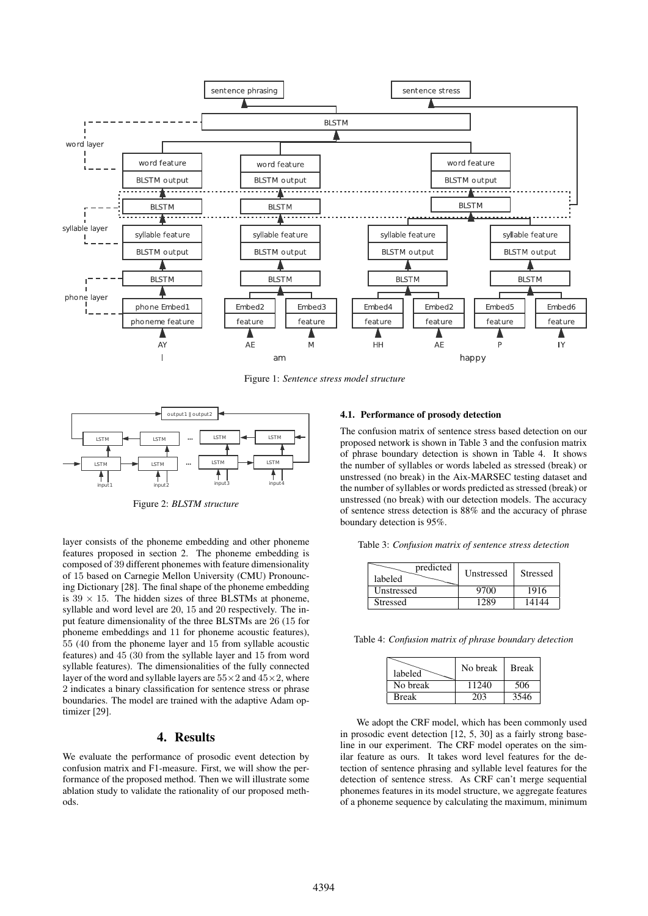

Figure 1: *Sentence stress model structure*



Figure 2: *BLSTM structure*

layer consists of the phoneme embedding and other phoneme features proposed in section 2. The phoneme embedding is composed of 39 different phonemes with feature dimensionality of 15 based on Carnegie Mellon University (CMU) Pronouncing Dictionary [28]. The final shape of the phoneme embedding is  $39 \times 15$ . The hidden sizes of three BLSTMs at phoneme, syllable and word level are 20, 15 and 20 respectively. The input feature dimensionality of the three BLSTMs are 26 (15 for phoneme embeddings and 11 for phoneme acoustic features), 55 (40 from the phoneme layer and 15 from syllable acoustic features) and 45 (30 from the syllable layer and 15 from word syllable features). The dimensionalities of the fully connected layer of the word and syllable layers are 55*×*2 and 45*×*2, where 2 indicates a binary classification for sentence stress or phrase boundaries. The model are trained with the adaptive Adam optimizer [29].

# 4. Results

We evaluate the performance of prosodic event detection by confusion matrix and F1-measure. First, we will show the performance of the proposed method. Then we will illustrate some ablation study to validate the rationality of our proposed methods.

#### 4.1. Performance of prosody detection

The confusion matrix of sentence stress based detection on our proposed network is shown in Table 3 and the confusion matrix of phrase boundary detection is shown in Table 4. It shows the number of syllables or words labeled as stressed (break) or unstressed (no break) in the Aix-MARSEC testing dataset and the number of syllables or words predicted as stressed (break) or unstressed (no break) with our detection models. The accuracy of sentence stress detection is 88% and the accuracy of phrase boundary detection is 95%.

Table 3: *Confusion matrix of sentence stress detection*

| predicted<br>labeled | Unstressed | <b>Stressed</b> |
|----------------------|------------|-----------------|
| Unstressed           | 9700       | 1916            |
| <b>Stressed</b>      | 1289       | 14144           |

Table 4: *Confusion matrix of phrase boundary detection*

| labeled      | No break | <b>Break</b> |
|--------------|----------|--------------|
| No break     | 11240    | 506          |
| <b>Break</b> | 203      | 3546         |

We adopt the CRF model, which has been commonly used in prosodic event detection [12, 5, 30] as a fairly strong baseline in our experiment. The CRF model operates on the similar feature as ours. It takes word level features for the detection of sentence phrasing and syllable level features for the detection of sentence stress. As CRF can't merge sequential phonemes features in its model structure, we aggregate features of a phoneme sequence by calculating the maximum, minimum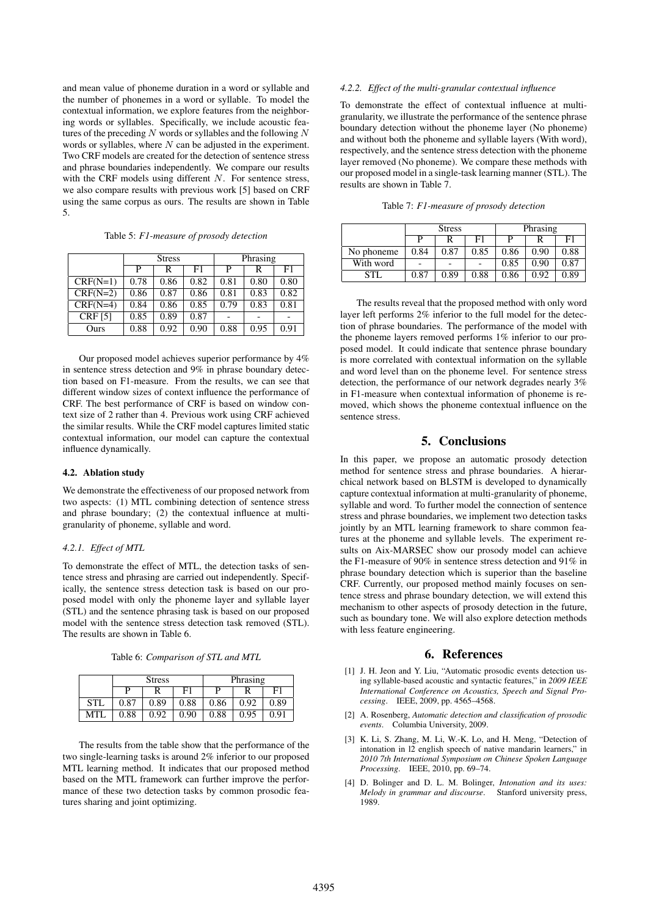and mean value of phoneme duration in a word or syllable and the number of phonemes in a word or syllable. To model the contextual information, we explore features from the neighboring words or syllables. Specifically, we include acoustic features of the preceding *N* words or syllables and the following *N* words or syllables, where *N* can be adjusted in the experiment. Two CRF models are created for the detection of sentence stress and phrase boundaries independently. We compare our results with the CRF models using different *N*. For sentence stress, we also compare results with previous work [5] based on CRF using the same corpus as ours. The results are shown in Table 5.

| Table 5: F1-measure of prosody detection |  |
|------------------------------------------|--|
|                                          |  |

|                | <b>Stress</b> |      |      | Phrasing |      |      |
|----------------|---------------|------|------|----------|------|------|
|                | P             | R    | F1   | P        | R    | F1   |
| $CRF(N=1)$     | 0.78          | 0.86 | 0.82 | 0.81     | 0.80 | 0.80 |
| $CRF(N=2)$     | 0.86          | 0.87 | 0.86 | 0.81     | 0.83 | 0.82 |
| $CRF(N=4)$     | 0.84          | 0.86 | 0.85 | 0.79     | 0.83 | 0.81 |
| <b>CRF</b> [5] | 0.85          | 0.89 | 0.87 |          |      |      |
| Ours           | 0.88          | 0.92 | 0.90 | 0.88     | 0.95 | 0.91 |

Our proposed model achieves superior performance by 4% in sentence stress detection and 9% in phrase boundary detection based on F1-measure. From the results, we can see that different window sizes of context influence the performance of CRF. The best performance of CRF is based on window context size of 2 rather than 4. Previous work using CRF achieved the similar results. While the CRF model captures limited static contextual information, our model can capture the contextual influence dynamically.

### 4.2. Ablation study

We demonstrate the effectiveness of our proposed network from two aspects: (1) MTL combining detection of sentence stress and phrase boundary; (2) the contextual influence at multigranularity of phoneme, syllable and word.

#### *4.2.1. Effect of MTL*

To demonstrate the effect of MTL, the detection tasks of sentence stress and phrasing are carried out independently. Specifically, the sentence stress detection task is based on our proposed model with only the phoneme layer and syllable layer (STL) and the sentence phrasing task is based on our proposed model with the sentence stress detection task removed (STL). The results are shown in Table 6.

Table 6: *Comparison of STL and MTL*

|            | <b>Stress</b> |      |      | Phrasing |      |      |
|------------|---------------|------|------|----------|------|------|
|            |               |      | F1   | D        |      | F1   |
| <b>STL</b> | 0.87          | 0.89 | 0.88 | 0.86     | 0.92 | 0.89 |
| MTI        | 0.88          | 0.92 | 0.90 | 0.88     | 0.95 | 0.91 |

The results from the table show that the performance of the two single-learning tasks is around 2% inferior to our proposed MTL learning method. It indicates that our proposed method based on the MTL framework can further improve the performance of these two detection tasks by common prosodic features sharing and joint optimizing.

## *4.2.2. Effect of the multi-granular contextual influence*

To demonstrate the effect of contextual influence at multigranularity, we illustrate the performance of the sentence phrase boundary detection without the phoneme layer (No phoneme) and without both the phoneme and syllable layers (With word), respectively, and the sentence stress detection with the phoneme layer removed (No phoneme). We compare these methods with our proposed model in a single-task learning manner (STL). The results are shown in Table 7.

Table 7: *F1-measure of prosody detection*

|            | <b>Stress</b> |      |      | Phrasing |      |      |
|------------|---------------|------|------|----------|------|------|
|            |               |      | F1   |          |      | F1   |
| No phoneme | 0.84          | 0.87 | 0.85 | 0.86     | 0.90 | 0.88 |
| With word  |               |      |      | 0.85     | 0.90 | 0.87 |
| STI        | 0.87          | 0.89 | 0.88 | 0.86     | 0.92 | 0.89 |

The results reveal that the proposed method with only word layer left performs 2% inferior to the full model for the detection of phrase boundaries. The performance of the model with the phoneme layers removed performs 1% inferior to our proposed model. It could indicate that sentence phrase boundary is more correlated with contextual information on the syllable and word level than on the phoneme level. For sentence stress detection, the performance of our network degrades nearly 3% in F1-measure when contextual information of phoneme is removed, which shows the phoneme contextual influence on the sentence stress.

# 5. Conclusions

In this paper, we propose an automatic prosody detection method for sentence stress and phrase boundaries. A hierarchical network based on BLSTM is developed to dynamically capture contextual information at multi-granularity of phoneme, syllable and word. To further model the connection of sentence stress and phrase boundaries, we implement two detection tasks jointly by an MTL learning framework to share common features at the phoneme and syllable levels. The experiment results on Aix-MARSEC show our prosody model can achieve the F1-measure of 90% in sentence stress detection and 91% in phrase boundary detection which is superior than the baseline CRF. Currently, our proposed method mainly focuses on sentence stress and phrase boundary detection, we will extend this mechanism to other aspects of prosody detection in the future, such as boundary tone. We will also explore detection methods with less feature engineering.

### 6. References

- [1] J. H. Jeon and Y. Liu, "Automatic prosodic events detection using syllable-based acoustic and syntactic features," in *2009 IEEE International Conference on Acoustics, Speech and Signal Processing*. IEEE, 2009, pp. 4565–4568.
- [2] A. Rosenberg, *Automatic detection and classification of prosodic events*. Columbia University, 2009.
- [3] K. Li, S. Zhang, M. Li, W.-K. Lo, and H. Meng, "Detection of intonation in l2 english speech of native mandarin learners," in *2010 7th International Symposium on Chinese Spoken Language Processing*. IEEE, 2010, pp. 69–74.
- [4] D. Bolinger and D. L. M. Bolinger, *Intonation and its uses: Melody in grammar and discourse*. Stanford university press, 1989.